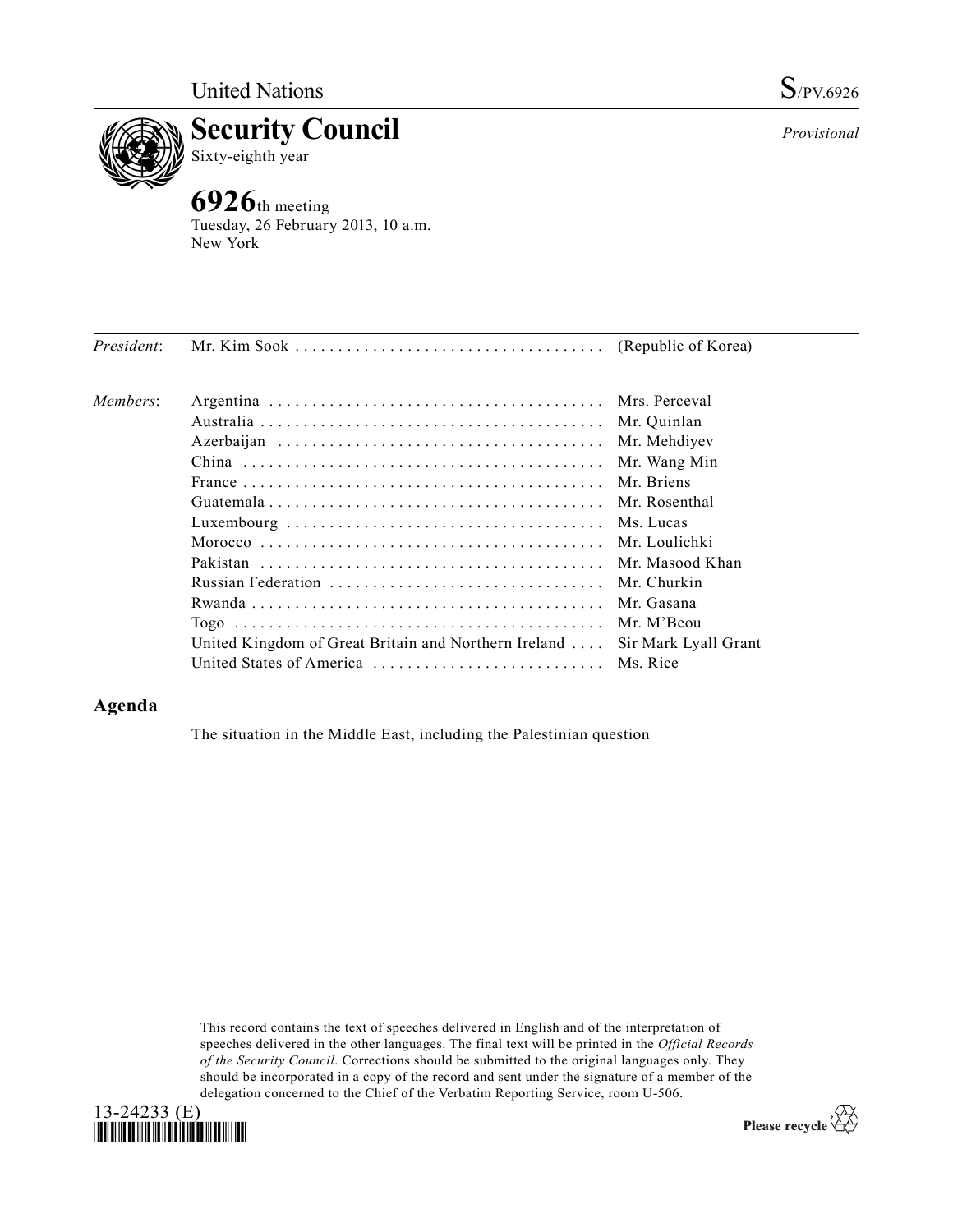



Tuesday, 26 February 2013, 10 a.m. New York

| President: |                                                              |                      |
|------------|--------------------------------------------------------------|----------------------|
| Members:   |                                                              |                      |
|            |                                                              |                      |
|            |                                                              | Mr. Mehdiyev         |
|            |                                                              | Mr. Wang Min         |
|            |                                                              | Mr. Briens           |
|            |                                                              |                      |
|            |                                                              |                      |
|            |                                                              | Mr. Loulichki        |
|            |                                                              |                      |
|            |                                                              |                      |
|            |                                                              | Mr. Gasana           |
|            |                                                              | Mr. M'Beou           |
|            | United Kingdom of Great Britain and Northern Ireland $\dots$ | Sir Mark Lyall Grant |
|            | United States of America  Ms. Rice                           |                      |

## **Agenda**

The situation in the Middle East, including the Palestinian question

This record contains the text of speeches delivered in English and of the interpretation of speeches delivered in the other languages. The final text will be printed in the *Official Records of the Security Council*. Corrections should be submitted to the original languages only. They should be incorporated in a copy of the record and sent under the signature of a member of the delegation concerned to the Chief of the Verbatim Reporting Service, room U-506.



Please recycle  $\overleftrightarrow{C}$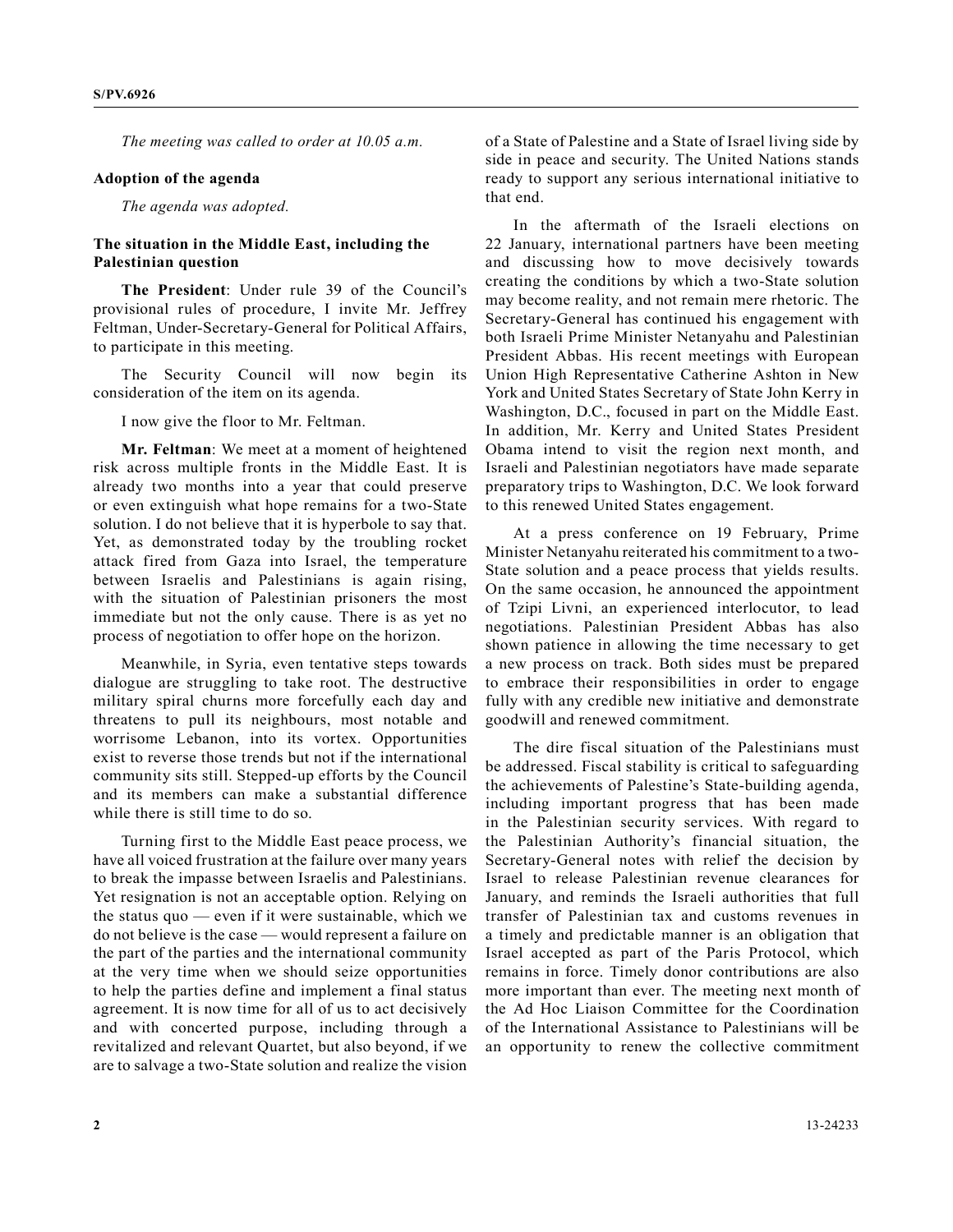*The meeting was called to order at 10.05 a.m.*

## **Adoption of the agenda**

*The agenda was adopted.*

## **The situation in the Middle East, including the Palestinian question**

**The President**: Under rule 39 of the Council's provisional rules of procedure, I invite Mr. Jeffrey Feltman, Under-Secretary-General for Political Affairs, to participate in this meeting.

The Security Council will now begin its consideration of the item on its agenda.

I now give the floor to Mr. Feltman.

**Mr. Feltman**: We meet at a moment of heightened risk across multiple fronts in the Middle East. It is already two months into a year that could preserve or even extinguish what hope remains for a two-State solution. I do not believe that it is hyperbole to say that. Yet, as demonstrated today by the troubling rocket attack fired from Gaza into Israel, the temperature between Israelis and Palestinians is again rising, with the situation of Palestinian prisoners the most immediate but not the only cause. There is as yet no process of negotiation to offer hope on the horizon.

Meanwhile, in Syria, even tentative steps towards dialogue are struggling to take root. The destructive military spiral churns more forcefully each day and threatens to pull its neighbours, most notable and worrisome Lebanon, into its vortex. Opportunities exist to reverse those trends but not if the international community sits still. Stepped-up efforts by the Council and its members can make a substantial difference while there is still time to do so.

Turning first to the Middle East peace process, we have all voiced frustration at the failure over many years to break the impasse between Israelis and Palestinians. Yet resignation is not an acceptable option. Relying on the status quo — even if it were sustainable, which we do not believe is the case — would represent a failure on the part of the parties and the international community at the very time when we should seize opportunities to help the parties define and implement a final status agreement. It is now time for all of us to act decisively and with concerted purpose, including through a revitalized and relevant Quartet, but also beyond, if we are to salvage a two-State solution and realize the vision

of a State of Palestine and a State of Israel living side by side in peace and security. The United Nations stands ready to support any serious international initiative to that end.

In the aftermath of the Israeli elections on 22 January, international partners have been meeting and discussing how to move decisively towards creating the conditions by which a two-State solution may become reality, and not remain mere rhetoric. The Secretary-General has continued his engagement with both Israeli Prime Minister Netanyahu and Palestinian President Abbas. His recent meetings with European Union High Representative Catherine Ashton in New York and United States Secretary of State John Kerry in Washington, D.C., focused in part on the Middle East. In addition, Mr. Kerry and United States President Obama intend to visit the region next month, and Israeli and Palestinian negotiators have made separate preparatory trips to Washington, D.C. We look forward to this renewed United States engagement.

At a press conference on 19 February, Prime Minister Netanyahu reiterated his commitment to a two-State solution and a peace process that yields results. On the same occasion, he announced the appointment of Tzipi Livni, an experienced interlocutor, to lead negotiations. Palestinian President Abbas has also shown patience in allowing the time necessary to get a new process on track. Both sides must be prepared to embrace their responsibilities in order to engage fully with any credible new initiative and demonstrate goodwill and renewed commitment.

The dire fiscal situation of the Palestinians must be addressed. Fiscal stability is critical to safeguarding the achievements of Palestine's State-building agenda, including important progress that has been made in the Palestinian security services. With regard to the Palestinian Authority's financial situation, the Secretary-General notes with relief the decision by Israel to release Palestinian revenue clearances for January, and reminds the Israeli authorities that full transfer of Palestinian tax and customs revenues in a timely and predictable manner is an obligation that Israel accepted as part of the Paris Protocol, which remains in force. Timely donor contributions are also more important than ever. The meeting next month of the Ad Hoc Liaison Committee for the Coordination of the International Assistance to Palestinians will be an opportunity to renew the collective commitment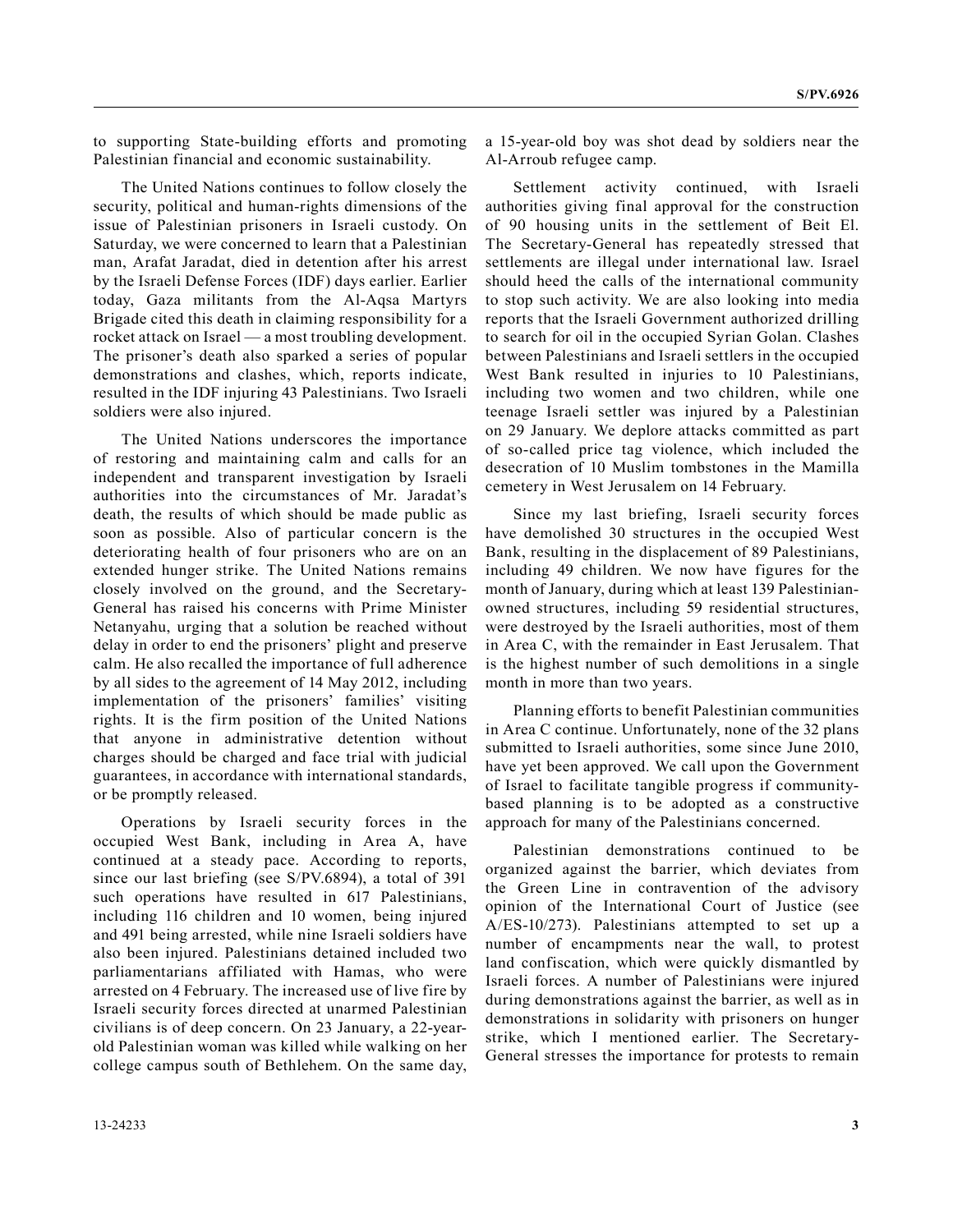to supporting State-building efforts and promoting Palestinian financial and economic sustainability.

The United Nations continues to follow closely the security, political and human-rights dimensions of the issue of Palestinian prisoners in Israeli custody. On Saturday, we were concerned to learn that a Palestinian man, Arafat Jaradat, died in detention after his arrest by the Israeli Defense Forces (IDF) days earlier. Earlier today, Gaza militants from the Al-Aqsa Martyrs Brigade cited this death in claiming responsibility for a rocket attack on Israel — a most troubling development. The prisoner's death also sparked a series of popular demonstrations and clashes, which, reports indicate, resulted in the IDF injuring 43 Palestinians. Two Israeli soldiers were also injured.

The United Nations underscores the importance of restoring and maintaining calm and calls for an independent and transparent investigation by Israeli authorities into the circumstances of Mr. Jaradat's death, the results of which should be made public as soon as possible. Also of particular concern is the deteriorating health of four prisoners who are on an extended hunger strike. The United Nations remains closely involved on the ground, and the Secretary-General has raised his concerns with Prime Minister Netanyahu, urging that a solution be reached without delay in order to end the prisoners' plight and preserve calm. He also recalled the importance of full adherence by all sides to the agreement of 14 May 2012, including implementation of the prisoners' families' visiting rights. It is the firm position of the United Nations that anyone in administrative detention without charges should be charged and face trial with judicial guarantees, in accordance with international standards, or be promptly released.

Operations by Israeli security forces in the occupied West Bank, including in Area A, have continued at a steady pace. According to reports, since our last briefing (see S/PV.6894), a total of 391 such operations have resulted in 617 Palestinians, including 116 children and 10 women, being injured and 491 being arrested, while nine Israeli soldiers have also been injured. Palestinians detained included two parliamentarians affiliated with Hamas, who were arrested on 4 February. The increased use of live fire by Israeli security forces directed at unarmed Palestinian civilians is of deep concern. On 23 January, a 22-yearold Palestinian woman was killed while walking on her college campus south of Bethlehem. On the same day, a 15-year-old boy was shot dead by soldiers near the Al-Arroub refugee camp.

Settlement activity continued, with Israeli authorities giving final approval for the construction of 90 housing units in the settlement of Beit El. The Secretary-General has repeatedly stressed that settlements are illegal under international law. Israel should heed the calls of the international community to stop such activity. We are also looking into media reports that the Israeli Government authorized drilling to search for oil in the occupied Syrian Golan. Clashes between Palestinians and Israeli settlers in the occupied West Bank resulted in injuries to 10 Palestinians, including two women and two children, while one teenage Israeli settler was injured by a Palestinian on 29 January. We deplore attacks committed as part of so-called price tag violence, which included the desecration of 10 Muslim tombstones in the Mamilla cemetery in West Jerusalem on 14 February.

Since my last briefing, Israeli security forces have demolished 30 structures in the occupied West Bank, resulting in the displacement of 89 Palestinians, including 49 children. We now have figures for the month of January, during which at least 139 Palestinianowned structures, including 59 residential structures, were destroyed by the Israeli authorities, most of them in Area C, with the remainder in East Jerusalem. That is the highest number of such demolitions in a single month in more than two years.

Planning efforts to benefit Palestinian communities in Area C continue. Unfortunately, none of the 32 plans submitted to Israeli authorities, some since June 2010, have yet been approved. We call upon the Government of Israel to facilitate tangible progress if communitybased planning is to be adopted as a constructive approach for many of the Palestinians concerned.

Palestinian demonstrations continued to be organized against the barrier, which deviates from the Green Line in contravention of the advisory opinion of the International Court of Justice (see A/ES-10/273). Palestinians attempted to set up a number of encampments near the wall, to protest land confiscation, which were quickly dismantled by Israeli forces. A number of Palestinians were injured during demonstrations against the barrier, as well as in demonstrations in solidarity with prisoners on hunger strike, which I mentioned earlier. The Secretary-General stresses the importance for protests to remain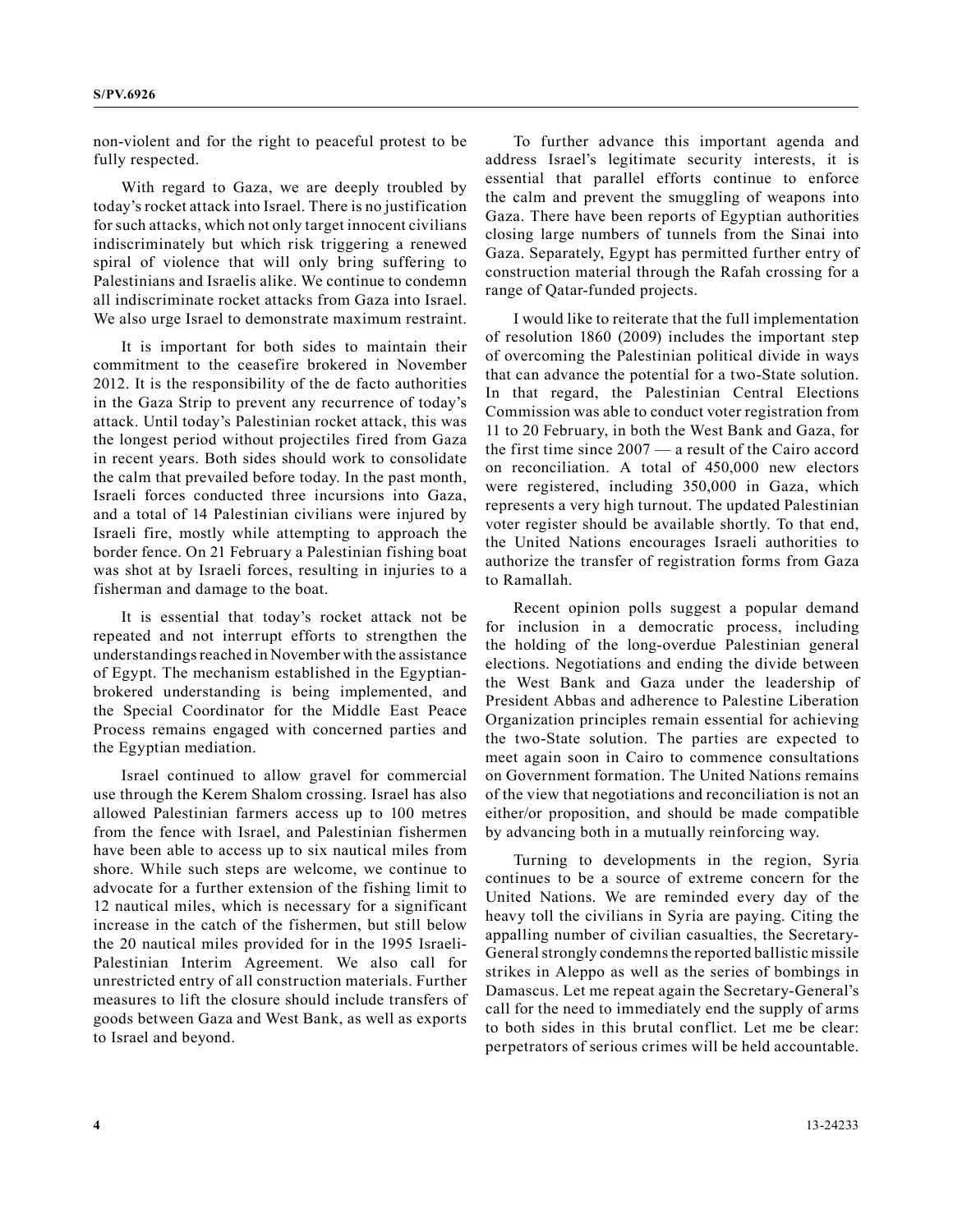non-violent and for the right to peaceful protest to be fully respected.

With regard to Gaza, we are deeply troubled by today's rocket attack into Israel. There is no justification for such attacks, which not only target innocent civilians indiscriminately but which risk triggering a renewed spiral of violence that will only bring suffering to Palestinians and Israelis alike. We continue to condemn all indiscriminate rocket attacks from Gaza into Israel. We also urge Israel to demonstrate maximum restraint.

It is important for both sides to maintain their commitment to the ceasefire brokered in November 2012. It is the responsibility of the de facto authorities in the Gaza Strip to prevent any recurrence of today's attack. Until today's Palestinian rocket attack, this was the longest period without projectiles fired from Gaza in recent years. Both sides should work to consolidate the calm that prevailed before today. In the past month, Israeli forces conducted three incursions into Gaza, and a total of 14 Palestinian civilians were injured by Israeli fire, mostly while attempting to approach the border fence. On 21 February a Palestinian fishing boat was shot at by Israeli forces, resulting in injuries to a fisherman and damage to the boat.

It is essential that today's rocket attack not be repeated and not interrupt efforts to strengthen the understandings reached in November with the assistance of Egypt. The mechanism established in the Egyptianbrokered understanding is being implemented, and the Special Coordinator for the Middle East Peace Process remains engaged with concerned parties and the Egyptian mediation.

Israel continued to allow gravel for commercial use through the Kerem Shalom crossing. Israel has also allowed Palestinian farmers access up to 100 metres from the fence with Israel, and Palestinian fishermen have been able to access up to six nautical miles from shore. While such steps are welcome, we continue to advocate for a further extension of the fishing limit to 12 nautical miles, which is necessary for a significant increase in the catch of the fishermen, but still below the 20 nautical miles provided for in the 1995 Israeli-Palestinian Interim Agreement. We also call for unrestricted entry of all construction materials. Further measures to lift the closure should include transfers of goods between Gaza and West Bank, as well as exports to Israel and beyond.

To further advance this important agenda and address Israel's legitimate security interests, it is essential that parallel efforts continue to enforce the calm and prevent the smuggling of weapons into Gaza. There have been reports of Egyptian authorities closing large numbers of tunnels from the Sinai into Gaza. Separately, Egypt has permitted further entry of construction material through the Rafah crossing for a range of Qatar-funded projects.

I would like to reiterate that the full implementation of resolution 1860 (2009) includes the important step of overcoming the Palestinian political divide in ways that can advance the potential for a two-State solution. In that regard, the Palestinian Central Elections Commission was able to conduct voter registration from 11 to 20 February, in both the West Bank and Gaza, for the first time since 2007 — a result of the Cairo accord on reconciliation. A total of 450,000 new electors were registered, including 350,000 in Gaza, which represents a very high turnout. The updated Palestinian voter register should be available shortly. To that end, the United Nations encourages Israeli authorities to authorize the transfer of registration forms from Gaza to Ramallah.

Recent opinion polls suggest a popular demand for inclusion in a democratic process, including the holding of the long-overdue Palestinian general elections. Negotiations and ending the divide between the West Bank and Gaza under the leadership of President Abbas and adherence to Palestine Liberation Organization principles remain essential for achieving the two-State solution. The parties are expected to meet again soon in Cairo to commence consultations on Government formation. The United Nations remains of the view that negotiations and reconciliation is not an either/or proposition, and should be made compatible by advancing both in a mutually reinforcing way.

Turning to developments in the region, Syria continues to be a source of extreme concern for the United Nations. We are reminded every day of the heavy toll the civilians in Syria are paying. Citing the appalling number of civilian casualties, the Secretary-General strongly condemns the reported ballistic missile strikes in Aleppo as well as the series of bombings in Damascus. Let me repeat again the Secretary-General's call for the need to immediately end the supply of arms to both sides in this brutal conflict. Let me be clear: perpetrators of serious crimes will be held accountable.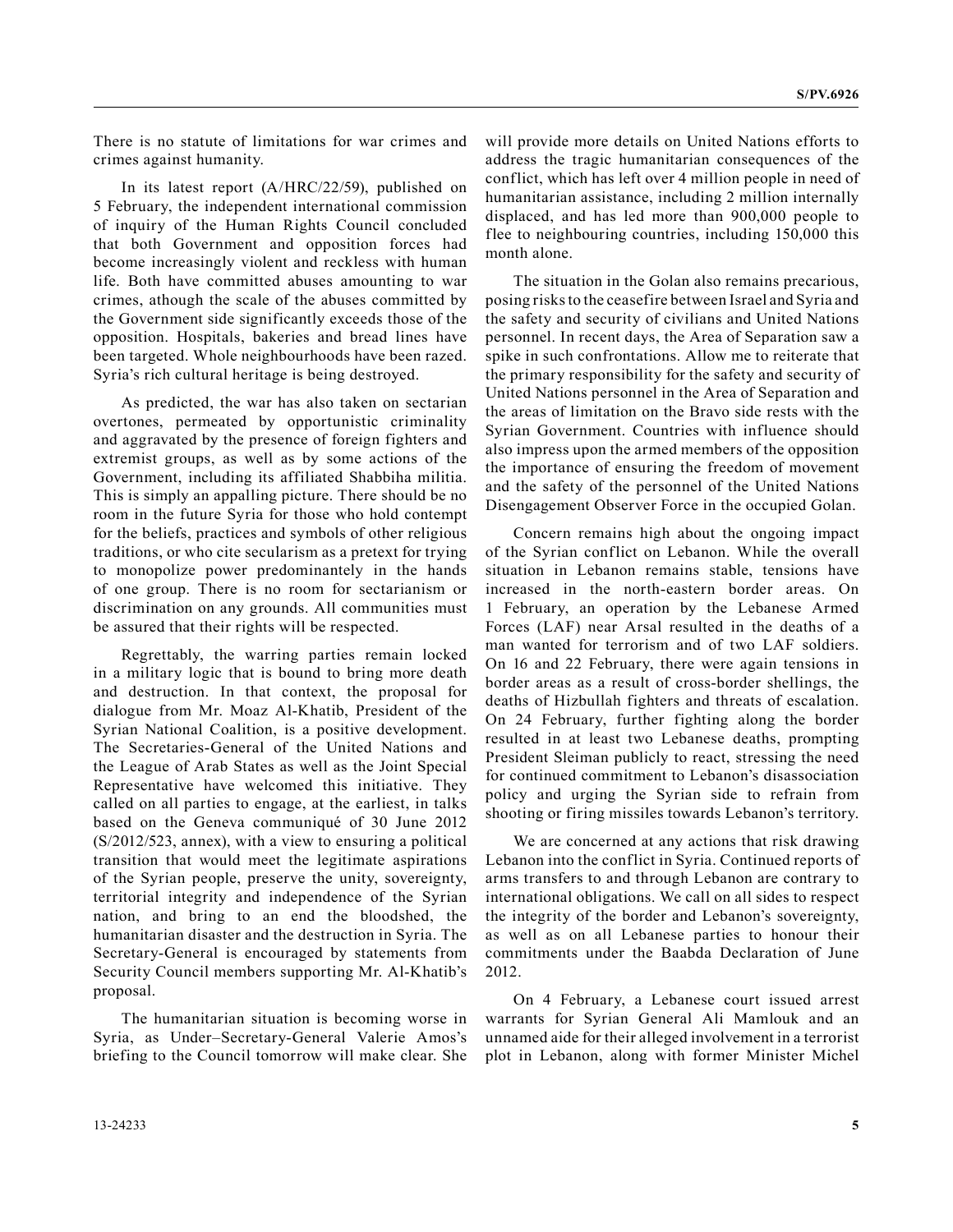There is no statute of limitations for war crimes and crimes against humanity.

In its latest report (A/HRC/22/59), published on 5 February, the independent international commission of inquiry of the Human Rights Council concluded that both Government and opposition forces had become increasingly violent and reckless with human life. Both have committed abuses amounting to war crimes, athough the scale of the abuses committed by the Government side significantly exceeds those of the opposition. Hospitals, bakeries and bread lines have been targeted. Whole neighbourhoods have been razed. Syria's rich cultural heritage is being destroyed.

As predicted, the war has also taken on sectarian overtones, permeated by opportunistic criminality and aggravated by the presence of foreign fighters and extremist groups, as well as by some actions of the Government, including its affiliated Shabbiha militia. This is simply an appalling picture. There should be no room in the future Syria for those who hold contempt for the beliefs, practices and symbols of other religious traditions, or who cite secularism as a pretext for trying to monopolize power predominantely in the hands of one group. There is no room for sectarianism or discrimination on any grounds. All communities must be assured that their rights will be respected.

Regrettably, the warring parties remain locked in a military logic that is bound to bring more death and destruction. In that context, the proposal for dialogue from Mr. Moaz Al-Khatib, President of the Syrian National Coalition, is a positive development. The Secretaries-General of the United Nations and the League of Arab States as well as the Joint Special Representative have welcomed this initiative. They called on all parties to engage, at the earliest, in talks based on the Geneva communiqué of 30 June 2012 (S/2012/523, annex), with a view to ensuring a political transition that would meet the legitimate aspirations of the Syrian people, preserve the unity, sovereignty, territorial integrity and independence of the Syrian nation, and bring to an end the bloodshed, the humanitarian disaster and the destruction in Syria. The Secretary-General is encouraged by statements from Security Council members supporting Mr. Al-Khatib's proposal.

The humanitarian situation is becoming worse in Syria, as Under–Secretary-General Valerie Amos's briefing to the Council tomorrow will make clear. She will provide more details on United Nations efforts to address the tragic humanitarian consequences of the conflict, which has left over 4 million people in need of humanitarian assistance, including 2 million internally displaced, and has led more than 900,000 people to flee to neighbouring countries, including 150,000 this month alone.

The situation in the Golan also remains precarious, posing risks to the ceasefire between Israel and Syria and the safety and security of civilians and United Nations personnel. In recent days, the Area of Separation saw a spike in such confrontations. Allow me to reiterate that the primary responsibility for the safety and security of United Nations personnel in the Area of Separation and the areas of limitation on the Bravo side rests with the Syrian Government. Countries with influence should also impress upon the armed members of the opposition the importance of ensuring the freedom of movement and the safety of the personnel of the United Nations Disengagement Observer Force in the occupied Golan.

Concern remains high about the ongoing impact of the Syrian conflict on Lebanon. While the overall situation in Lebanon remains stable, tensions have increased in the north-eastern border areas. On 1 February, an operation by the Lebanese Armed Forces (LAF) near Arsal resulted in the deaths of a man wanted for terrorism and of two LAF soldiers. On 16 and 22 February, there were again tensions in border areas as a result of cross-border shellings, the deaths of Hizbullah fighters and threats of escalation. On 24 February, further fighting along the border resulted in at least two Lebanese deaths, prompting President Sleiman publicly to react, stressing the need for continued commitment to Lebanon's disassociation policy and urging the Syrian side to refrain from shooting or firing missiles towards Lebanon's territory.

We are concerned at any actions that risk drawing Lebanon into the conflict in Syria. Continued reports of arms transfers to and through Lebanon are contrary to international obligations. We call on all sides to respect the integrity of the border and Lebanon's sovereignty, as well as on all Lebanese parties to honour their commitments under the Baabda Declaration of June 2012.

On 4 February, a Lebanese court issued arrest warrants for Syrian General Ali Mamlouk and an unnamed aide for their alleged involvement in a terrorist plot in Lebanon, along with former Minister Michel